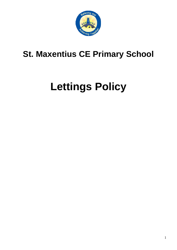

# **St. Maxentius CE Primary School**

# **Lettings Policy**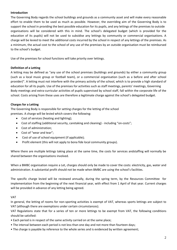# **Introduction**

The Governing Body regards the school buildings and grounds as a community asset and will make every reasonable effort to enable them to be used as much as possible. However, the overriding aim of the Governing Body is to support the school in providing the best possible education for its pupils, and any lettings of the premises to outside organisations will be considered with this in mind. The school's delegated budget (which is provided for the education of its pupils) will not be used to subsidise any lettings by community or commercial organisations. A charge will be levied to meet the additional costs incurred by the school in respect of any lettings of the premises. As a minimum, the actual cost to the school of any use of the premises by an outside organisation must be reimbursed to the school's budget.

Use of the premises for school functions will take priority over lettings.

# **Definition of a Letting**

A letting may be defined as "any use of the school premises (buildings and grounds) by either a community group (such as a local music group or football team), or a commercial organisation (such as a before and after school provider)". A letting must not interfere with the primary activity of the school, which is to provide a high standard of education for all its pupils. Use of the premises for activities such as staff meetings, parents' meetings, Governing Body meetings and extra-curricular activities of pupils supervised by school staff, fall within the corporate life of the school. Costs arising from these uses are therefore a legitimate charge against the school's delegated budget.

# **Charges for a Letting**

The Governing Body is responsible for setting charges for the letting of the school premises. A charge will be levied which covers the following:

- Cost of services (heating and lighting);
- Cost of staffing (additional security, caretaking and cleaning) including "on-costs";
- Cost of administration;
- Cost of "wear and tear";
- Cost of use of school equipment (if applicable);
- Profit element (this will not apply to bona fide local community groups).

Where there are multiple lettings taking place at the same time, the costs for services andstaffing will normally be shared between the organisations involved.

When a BMBC organisation require a Let, charges should only be made to cover the costs: electricity, gas, water and administration. A substantial profit should not be made when BMBC are using the school's facilities.

The specific charge levied will be reviewed annually, during the spring term, by the Resources Committee for implementation from the beginning of the next financial year, with effect from 1 April of that year. Current charges will be provided in advance of any letting being agreed.

# VAT

In general, the letting of rooms for non-sporting activities is exempt of VAT, whereas sports lettings are subject to VAT (although there are exemptions under certain circumstances).

VAT Regulations state that for a series of ten or more lettings to be exempt from VAT, the following conditions should be satisfied:

- Each period is in respect of the same activity carried on at the same place;
- The interval between each period is not less than one day and not more than fourteen days;
- The charge is payable by reference to the whole series and is evidenced by written agreement;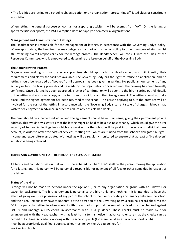• The facilities are letting to a school, club, association or an organisation representing affiliated clubs or constituent association.

When letting the general purpose school hall for a sporting activity it will be exempt from VAT. On the letting of sports facilities for sports, the VAT exemption does not apply to commercial organisations.

# **Management and Administration of Lettings**

The Headteacher is responsible for the management of lettings, in accordance with the Governing Body's policy. Where appropriate, the Headteacher may delegate all or part of this responsibility to other members of staff, whilst still retaining overall responsibility for the lettings process. The Headteacher will consult with the Chair of the Resources Committee, who is empowered to determine the issue on behalf of the Governing Body.

### **The Administrative Process**

Organisations seeking to hire the school premises should approach the Headteacher, who will identify their requirements and clarify the facilities available. The Governing Body has the right to refuse an application, and no letting should be regarded as "booked" until approval has been given in writing. No public announcement of any activity or function taking place should be made by the organisation concerned until the booking has been formally confirmed. Once a letting has been approved, a letter of confirmation will be sent to the hirer, setting out full details of the letting and enclosing a copy of the terms and conditions and the hire agreement. The letting should not take place until the signed agreement has been returned to the school. The person applying to hire the premises will be invoiced for the cost of the letting in accordance with the Governing Body's current scale of charges. (Schools may wish to seek payment in advance in order to reduce any possible bad debts.)

The hirer should be a named individual and the agreement should be in their name, giving their permanent private address. This avoids any slight risk that the letting might be held to be a business tenancy, which would give the hirer security of tenure. All lettings fees which are received by the school will be paid into the school's individual bank account, in order to offset the costs of services, staffing etc. (which are funded from the school's delegated budget). Income and expenditure associated with lettings will be regularly monitored to ensure that at least a "break even" situation is being achieved.

# **TERMS AND CONDITIONS FOR THE HIRE OF THE SCHOOL PREMISES**

All terms and conditions set out below must be adhered to. The "Hirer" shall be the person making the application for a letting, and this person will be personally responsible for payment of all fees or other sums due in respect of the letting.

# **Status of the Hirer**

Lettings will not be made to persons under the age of 18, or to any organisation or group with an unlawful or extremist background. The hire agreement is personal to the hirer only, and nothing in it is intended to have the effect of giving exclusive possession of any part of the school to them or of creating any tenancy between the school and the hirer. Persons may have to undergo, at the discretion of the Governing Body, a criminal record check via the DBS. If a particular letting involves contact with the school's pupils, all personnel involved must be checked against List 99 and undergo a DBS check, in accordance with DCSF guidance. These checks must be made by prior arrangement with the Headteacher, with at least half a term's notice in advance to ensure that the checks can be carried out in time. Any adults working with the school's pupils (for example, at an after school sports club) must be appropriately qualified. Sports coaches must follow the LA's guidelines for working in schools.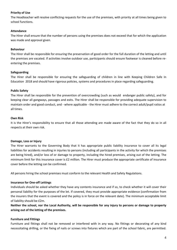# **Priority of Use**

The Headteacher will resolve conflicting requests for the use of the premises, with priority at all times being given to school functions.

#### **Attendance**

The Hirer shall ensure that the number of persons using the premises does not exceed that for which the application was made and approval given.

#### **Behaviour**

The Hirer shall be responsible for ensuring the preservation of good order for the full duration of the letting and until the premises are vacated. If activities involve outdoor use, participants should ensure footwear is cleaned before reentering the premises.

#### **Safeguarding**

The Hirer shall be responsible for ensuring the safeguarding of children in line with Keeping Children Safe In Education 2018 and should have rigorous policies, systems and procedures in place regarding safeguarding.

#### **Public Safety**

The Hirer shall be responsible for the prevention of overcrowding (such as would endanger public safety), and for keeping clear all gangways, passages and exits. The Hirer shall be responsible for providing adequate supervision to maintain order and good conduct, and - where applicable - the Hirer must adhere to the correct adult/pupil ratios at all times.

#### **Own Risk**

It is the Hirer's responsibility to ensure that all those attending are made aware of the fact that they do so in all respects at their own risk.

#### **Damage, Loss or Injury**

The Hirer warrants to the Governing Body that it has appropriate public liability insurance to cover all its legal liabilities for accidents resulting in injuries to persons (including all participants in the activity for which the premises are being hired), and/or loss of or damage to property, including the hired premises, arising out of the letting. The minimum limit for this insurance cover is £2 million. The Hirer must produce the appropriate certificate of insurance cover before the letting can be confirmed.

All persons hiring the school premises must conform to the relevant Health and Safety Regulations.

#### **Insurance for One-off Lettings**

Individuals should be asked whether they have any contents insurance and if so, to check whether it will cover their personal liability for the purposes of the let. If covered, they must provide appropriate evidence (confirmation from the insurers that the event is covered and the policy is in force on the relevant date). The minimum acceptable limit of liability should be £2m.

**Neither the school, nor the Local Authority, will be responsible for any injury to persons or damage to property arising out of the letting of the premises.**

#### **Furniture and Fittings**

Furniture and fittings shall not be removed or interfered with in any way. No fittings or decorating of any kind necessitating drilling, or the fixing of nails or screws into fixtures which are part of the school fabric, are permitted.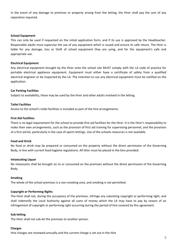In the event of any damage to premises or property arising from the letting, the Hirer shall pay the cost of any reparation required.

#### **School Equipment**

This can only be used if requested on the initial application form, and if its use is approved by the Headteacher. Responsible adults must supervise the use of any equipment which is issued and ensure its safe return. The Hirer is liable for any damage, loss or theft of school equipment they are using, and for the equipment's safe and appropriate use.

#### **Electrical Equipment**

Any electrical equipment brought by the Hirer onto the school site MUST comply with the LA code of practice for portable electrical appliance equipment. Equipment must either have a certificate of safety from a qualified electrical engineer or be inspected by the LA. The intention to use any electrical equipment must be notified on the application.

### **Car Parking Facilities**

Subject to availability, these may be used by the Hirer and other adults involved in the letting.

### **Toilet Facilities**

Access to the school's toilet facilities is included as part of the hire arrangements.

#### **First Aid Facilities**

There is no legal requirement for the school to provide first aid facilities for the Hirer. It is the Hirer's responsibility to make their own arrangements, such as the provision of first aid training for supervising personnel, and the provision of a first aid kit, particularly in the case of sports lettings. Use of the schools resources is not available.

#### **Food and Drink**

No food or drink may be prepared or consumed on the property without the direct permission of the Governing Body, in line with current food hygiene regulations. All litter must be placed in the bins provided.

#### **Intoxicating Liquor**

No intoxicants shall be brought on to or consumed on the premises without the direct permission of the Governing Body.

#### **Smoking**

The whole of the school premises is a non-smoking area, and smoking is not permitted.

# **Copyright or Performing Rights**

The Hirer shall not, during the occupancy of the premises, infringe any subsisting copyright or performing right, and shall indemnify the Local Authority against all sums of money which the LA may have to pay by reason of an infringement of copyright or performing right occurring during the period of hire covered by this agreement.

#### **Sub-letting**

The Hirer shall not sub-let the premises to another person.

#### **Charges**

Hire charges are reviewed annually and the current charge is set out in the Hire